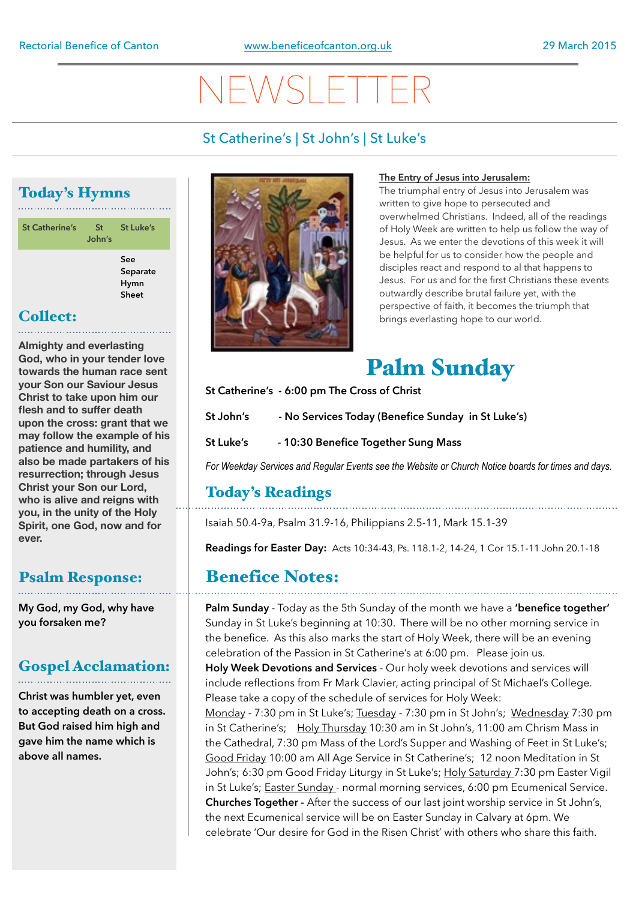# NEWSL

#### St Catherine's | St John's | St Luke's

### Today's Hymns

| <b>St Catherine's</b> | <b>St</b><br>John's | <b>St Luke's</b>                        |
|-----------------------|---------------------|-----------------------------------------|
|                       |                     | See<br>Separate<br><b>Hymn</b><br>Sheet |

#### Collect:

**Almighty and everlasting God, who in your tender love towards the human race sent your Son our Saviour Jesus Christ to take upon him our flesh and to suffer death upon the cross: grant that we may follow the example of his patience and humility, and also be made partakers of his resurrection; through Jesus Christ your Son our Lord, who is alive and reigns with you, in the unity of the Holy Spirit, one God, now and for ever.** 

#### Psalm Response:

**My God, my God, why have you forsaken me?** 

#### Gospel Acclamation:

**Christ was humbler yet, even to accepting death on a cross. But God raised him high and gave him the name which is above all names.** 



#### **The Entry of Jesus into Jerusalem:**

The triumphal entry of Jesus into Jerusalem was written to give hope to persecuted and overwhelmed Christians. Indeed, all of the readings of Holy Week are written to help us follow the way of Jesus. As we enter the devotions of this week it will be helpful for us to consider how the people and disciples react and respond to al that happens to Jesus. For us and for the first Christians these events outwardly describe brutal failure yet, with the perspective of faith, it becomes the triumph that brings everlasting hope to our world.



**St Catherine's - 6:00 pm The Cross of Christ** 

**St John's - No Services Today (Benefice Sunday in St Luke's)** 

**St Luke's - 10:30 Benefice Together Sung Mass** 

*For Weekday Services and Regular Events see the Website or Church Notice boards for times and days.*

#### Today's Readings

Isaiah 50.4-9a, Psalm 31.9-16, Philippians 2.5-11, Mark 15.1-39

**Readings for Easter Day:** Acts 10:34-43, Ps. 118.1-2, 14-24, 1 Cor 15.1-11 John 20.1-18

### Benefice Notes:

**Palm Sunday** - Today as the 5th Sunday of the month we have a **'benefice together'**  Sunday in St Luke's beginning at 10:30. There will be no other morning service in the benefice. As this also marks the start of Holy Week, there will be an evening celebration of the Passion in St Catherine's at 6:00 pm. Please join us. **Holy Week Devotions and Services** - Our holy week devotions and services will include reflections from Fr Mark Clavier, acting principal of St Michael's College. Please take a copy of the schedule of services for Holy Week: Monday - 7:30 pm in St Luke's; Tuesday - 7:30 pm in St John's; Wednesday 7:30 pm in St Catherine's; Holy Thursday 10:30 am in St John's, 11:00 am Chrism Mass in the Cathedral, 7:30 pm Mass of the Lord's Supper and Washing of Feet in St Luke's; Good Friday 10:00 am All Age Service in St Catherine's; 12 noon Meditation in St John's; 6:30 pm Good Friday Liturgy in St Luke's; Holy Saturday 7:30 pm Easter Vigil in St Luke's; Easter Sunday - normal morning services, 6:00 pm Ecumenical Service. **Churches Together -** After the success of our last joint worship service in St John's, the next Ecumenical service will be on Easter Sunday in Calvary at 6pm. We celebrate 'Our desire for God in the Risen Christ' with others who share this faith.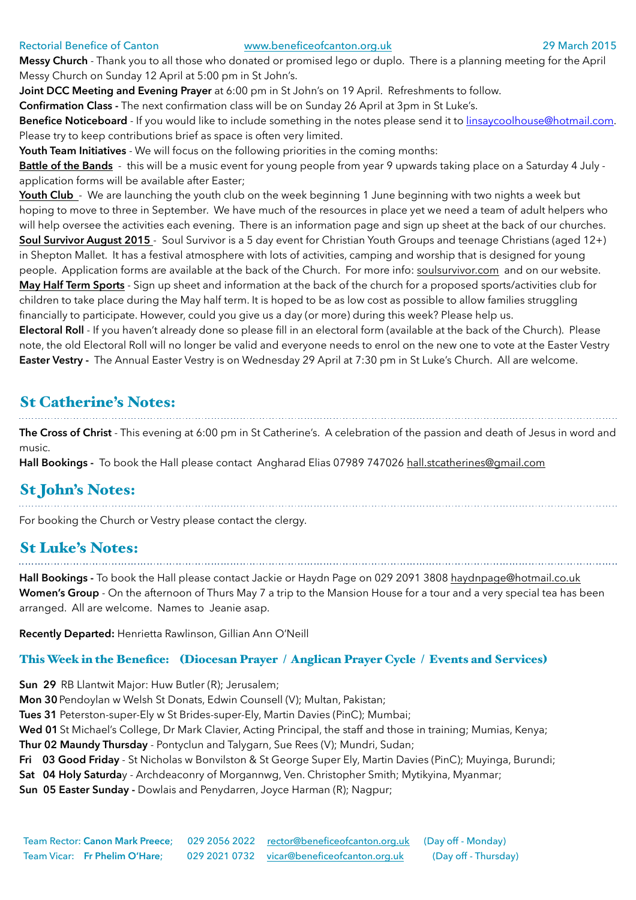#### Rectorial Benefice of Canton [www.beneficeofcanton.org.uk](http://www.beneficeofcanton.org.uk) 29 March 2015

**Messy Church** - Thank you to all those who donated or promised lego or duplo. There is a planning meeting for the April Messy Church on Sunday 12 April at 5:00 pm in St John's.

**Joint DCC Meeting and Evening Prayer** at 6:00 pm in St John's on 19 April. Refreshments to follow.

**Confirmation Class -** The next confirmation class will be on Sunday 26 April at 3pm in St Luke's.

**Benefice Noticeboard** - If you would like to include something in the notes please send it to [linsaycoolhouse@hotmail.com](mailto:linsaycoolhouse@hotmail.com). Please try to keep contributions brief as space is often very limited.

**Youth Team Initiatives** - We will focus on the following priorities in the coming months:

**Battle of the Bands** - this will be a music event for young people from year 9 upwards taking place on a Saturday 4 July application forms will be available after Easter;

Youth Club - We are launching the youth club on the week beginning 1 June beginning with two nights a week but hoping to move to three in September. We have much of the resources in place yet we need a team of adult helpers who will help oversee the activities each evening. There is an information page and sign up sheet at the back of our churches. **Soul Survivor August 2015** - Soul Survivor is a 5 day event for Christian Youth Groups and teenage Christians (aged 12+) in Shepton Mallet. It has a festival atmosphere with lots of activities, camping and worship that is designed for young people. Application forms are available at the back of the Church. For more info: [soulsurvivor.com](http://soulsurvivor.com) and on our website. **May Half Term Sports** - Sign up sheet and information at the back of the church for a proposed sports/activities club for children to take place during the May half term. It is hoped to be as low cost as possible to allow families struggling financially to participate. However, could you give us a day (or more) during this week? Please help us.

**Electoral Roll** - If you haven't already done so please fill in an electoral form (available at the back of the Church). Please note, the old Electoral Roll will no longer be valid and everyone needs to enrol on the new one to vote at the Easter Vestry **Easter Vestry -** The Annual Easter Vestry is on Wednesday 29 April at 7:30 pm in St Luke's Church. All are welcome.

#### St Catherine's Notes:

**The Cross of Christ** - This evening at 6:00 pm in St Catherine's. A celebration of the passion and death of Jesus in word and music.

**Hall Bookings -** To book the Hall please contact Angharad Elias 07989 747026 [hall.stcatherines@gmail.com](mailto:hall.stcatherines@gmail.com)

## St John's Notes:

For booking the Church or Vestry please contact the clergy.

#### St Luke's Notes:

**Hall Bookings -** To book the Hall please contact Jackie or Haydn Page on 029 2091 3808 [haydnpage@hotmail.co.uk](mailto:haydnpage@hotmail.co.uk) **Women's Group** - On the afternoon of Thurs May 7 a trip to the Mansion House for a tour and a very special tea has been arranged. All are welcome. Names to Jeanie asap.

**Recently Departed:** Henrietta Rawlinson, Gillian Ann O'Neill

#### This Week in the Benefice: (Diocesan Prayer / Anglican Prayer Cycle / Events and Services)

**Sun 29** RB Llantwit Major: Huw Butler (R); Jerusalem;

**Mon 30**Pendoylan w Welsh St Donats, Edwin Counsell (V); Multan, Pakistan;

**Tues 31** Peterston-super-Ely w St Brides-super-Ely, Martin Davies (PinC); Mumbai;

**Wed 01**St Michael's College, Dr Mark Clavier, Acting Principal, the staff and those in training; Mumias, Kenya;

**Thur 02 Maundy Thursday** - Pontyclun and Talygarn, Sue Rees (V); Mundri, Sudan;

**Fri 03 Good Friday** - St Nicholas w Bonvilston & St George Super Ely, Martin Davies (PinC); Muyinga, Burundi;

**Sat 04 Holy Saturda**y - Archdeaconry of Morgannwg, Ven. Christopher Smith; Mytikyina, Myanmar;

**Sun 05 Easter Sunday -** Dowlais and Penydarren, Joyce Harman (R); Nagpur;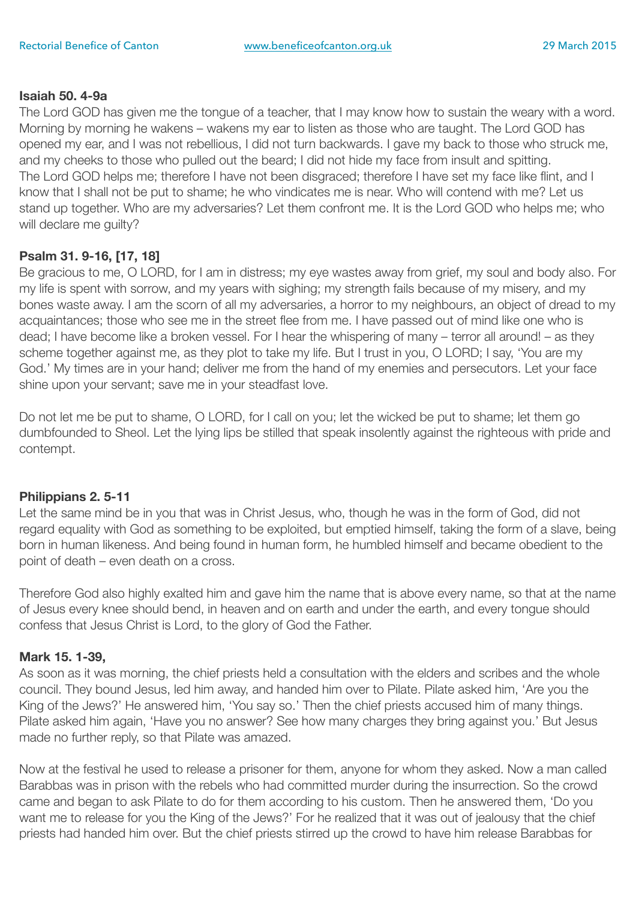#### **Isaiah 50. 4-9a**

The Lord GOD has given me the tongue of a teacher, that I may know how to sustain the weary with a word. Morning by morning he wakens – wakens my ear to listen as those who are taught. The Lord GOD has opened my ear, and I was not rebellious, I did not turn backwards. I gave my back to those who struck me, and my cheeks to those who pulled out the beard; I did not hide my face from insult and spitting. The Lord GOD helps me; therefore I have not been disgraced; therefore I have set my face like flint, and I know that I shall not be put to shame; he who vindicates me is near. Who will contend with me? Let us stand up together. Who are my adversaries? Let them confront me. It is the Lord GOD who helps me; who will declare me guilty?

#### **Psalm 31. 9-16, [17, 18]**

Be gracious to me, O LORD, for I am in distress; my eye wastes away from grief, my soul and body also. For my life is spent with sorrow, and my years with sighing; my strength fails because of my misery, and my bones waste away. I am the scorn of all my adversaries, a horror to my neighbours, an object of dread to my acquaintances; those who see me in the street flee from me. I have passed out of mind like one who is dead; I have become like a broken vessel. For I hear the whispering of many – terror all around! – as they scheme together against me, as they plot to take my life. But I trust in you, O LORD; I say, 'You are my God.' My times are in your hand; deliver me from the hand of my enemies and persecutors. Let your face shine upon your servant; save me in your steadfast love.

Do not let me be put to shame, O LORD, for I call on you; let the wicked be put to shame; let them go dumbfounded to Sheol. Let the lying lips be stilled that speak insolently against the righteous with pride and contempt.

#### **Philippians 2. 5-11**

Let the same mind be in you that was in Christ Jesus, who, though he was in the form of God, did not regard equality with God as something to be exploited, but emptied himself, taking the form of a slave, being born in human likeness. And being found in human form, he humbled himself and became obedient to the point of death – even death on a cross.

Therefore God also highly exalted him and gave him the name that is above every name, so that at the name of Jesus every knee should bend, in heaven and on earth and under the earth, and every tongue should confess that Jesus Christ is Lord, to the glory of God the Father.

#### **Mark 15. 1-39,**

As soon as it was morning, the chief priests held a consultation with the elders and scribes and the whole council. They bound Jesus, led him away, and handed him over to Pilate. Pilate asked him, 'Are you the King of the Jews?' He answered him, 'You say so.' Then the chief priests accused him of many things. Pilate asked him again, 'Have you no answer? See how many charges they bring against you.' But Jesus made no further reply, so that Pilate was amazed.

Now at the festival he used to release a prisoner for them, anyone for whom they asked. Now a man called Barabbas was in prison with the rebels who had committed murder during the insurrection. So the crowd came and began to ask Pilate to do for them according to his custom. Then he answered them, 'Do you want me to release for you the King of the Jews?' For he realized that it was out of jealousy that the chief priests had handed him over. But the chief priests stirred up the crowd to have him release Barabbas for